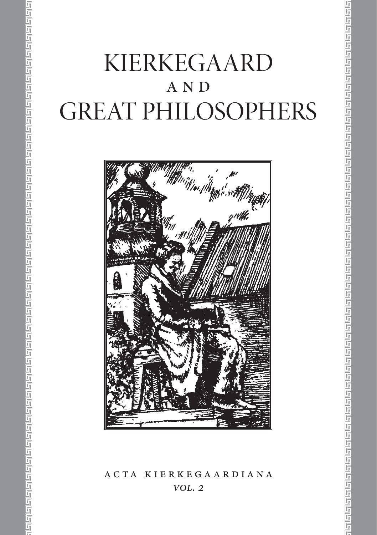# KIERKEGAARD A N D **GREAT PHILOSOPHERS**



### ACTA KIERKEGAARDIANA  $VOL.2$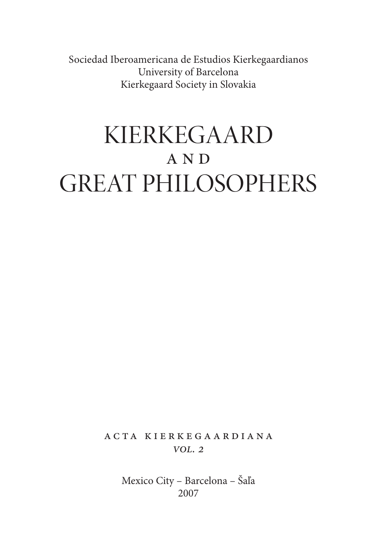Sociedad Iberoamericana de Estudios Kierkegaardianos University of Barcelona Kierkegaard Society in Slovakia

# KIERKEGAARD A N D GREAT PHILOSOPHERS

A c t a K i e r k e g a a r d i a n a  $VOL.2$ 

> Mexico City – Barcelona – Šaľa 2007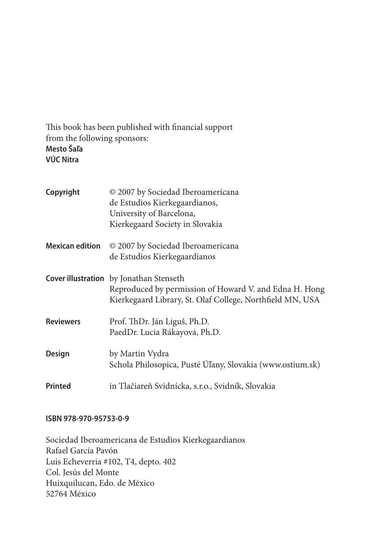#### This book has been published with financial support from the following sponsors: **Mesto Šaľa VÚC Nitra**

| Copyright              | © 2007 by Sociedad Iberoamericana<br>de Estudios Kierkegaardianos,<br>University of Barcelona,<br>Kierkegaard Society in Slovakia                                     |  |
|------------------------|-----------------------------------------------------------------------------------------------------------------------------------------------------------------------|--|
| <b>Mexican edition</b> | © 2007 by Sociedad Iberoamericana<br>de Estudios Kierkegaardianos                                                                                                     |  |
|                        | <b>Cover illustration</b> by Jonathan Stenseth<br>Reproduced by permission of Howard V. and Edna H. Hong<br>Kierkegaard Library, St. Olaf College, Northfield MN, USA |  |
| <b>Reviewers</b>       | Prof. ThDr. Ján Liguš, Ph.D.<br>PaedDr. Lucia Rákayová, Ph.D.                                                                                                         |  |
| Design                 | by Martin Vydra<br>Schola Philosopica, Pusté Úľany, Slovakia (www.ostium.sk)                                                                                          |  |
| <b>Printed</b>         | in Tlačiareň Svidnícka, s.r.o., Svidník, Slovakia                                                                                                                     |  |

#### **ISBN 978-970-95753-0-9**

Sociedad Iberoamericana de Estudios Kierkegaardianos Rafael García Pavón Luis Echeverria #102, T4, depto. 402 Col. Jesús del Monte Huixquilucan, Edo. de México 52764 México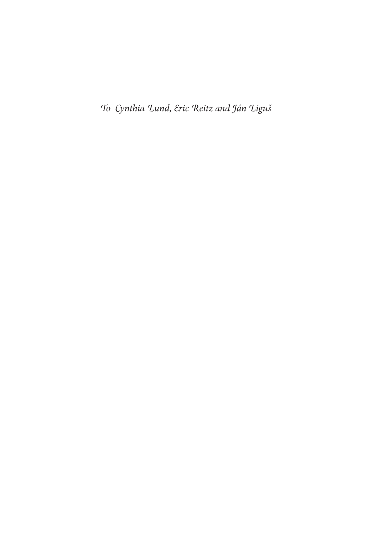To Cynthia Lund, Eric Reitz and Ján Liguš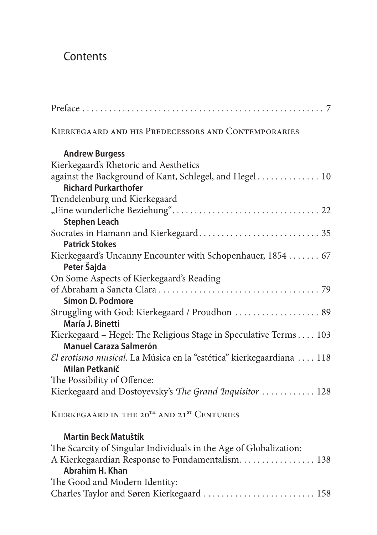# **Contents**

| KIERKEGAARD AND HIS PREDECESSORS AND CONTEMPORARIES                  |
|----------------------------------------------------------------------|
| <b>Andrew Burgess</b>                                                |
| Kierkegaard's Rhetoric and Aesthetics                                |
| against the Background of Kant, Schlegel, and Hegel 10               |
| <b>Richard Purkarthofer</b>                                          |
| Trendelenburg und Kierkegaard                                        |
|                                                                      |
| <b>Stephen Leach</b>                                                 |
|                                                                      |
| <b>Patrick Stokes</b>                                                |
| Kierkegaard's Uncanny Encounter with Schopenhauer, 1854  67          |
| Peter Šajda                                                          |
| On Some Aspects of Kierkegaard's Reading                             |
|                                                                      |
| <b>Simon D. Podmore</b>                                              |
| Struggling with God: Kierkegaard / Proudhon  89                      |
| María J. Binetti                                                     |
| Kierkegaard - Hegel: The Religious Stage in Speculative Terms 103    |
| <b>Manuel Caraza Salmerón</b>                                        |
| El erotismo musical. La Música en la "estética" kierkegaardiana  118 |
| Milan Petkanič                                                       |
| The Possibility of Offence:                                          |
| Kierkegaard and Dostoyevsky's The Grand Inquisitor  128              |
| KIERKEGAARD IN THE 20 <sup>TH</sup> AND 21 <sup>ST</sup> CENTURIES   |
| <b>Martin Beck Matuštík</b>                                          |
| The Scarcity of Singular Individuals in the Age of Globalization:    |
| A Kierkegaardian Response to Fundamentalism 138                      |
| Abrahim H. Khan                                                      |
| The Good and Modern Identity:                                        |
| Charles Taylor and Søren Kierkegaard  158                            |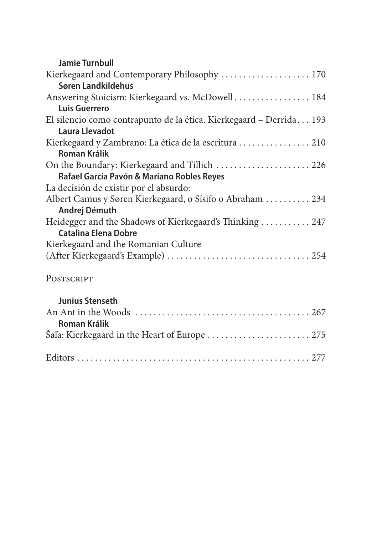## **Jamie Turnbull**

| Kierkegaard and Contemporary Philosophy  170                        |
|---------------------------------------------------------------------|
| Søren Landkildehus                                                  |
| Answering Stoicism: Kierkegaard vs. McDowell 184                    |
| Luis Guerrero                                                       |
| El silencio como contrapunto de la ética. Kierkegaard – Derrida 193 |
| Laura Llevadot                                                      |
| Kierkegaard y Zambrano: La ética de la escritura  210               |
| Roman Králik                                                        |
| On the Boundary: Kierkegaard and Tillich  226                       |
| Rafael García Pavón & Mariano Robles Reyes                          |
| La decisión de existir por el absurdo:                              |
| Albert Camus y Søren Kierkegaard, o Sísifo o Abraham  234           |
| Andrej Démuth                                                       |
| Heidegger and the Shadows of Kierkegaard's Thinking  247            |
| <b>Catalina Elena Dobre</b>                                         |
| Kierkegaard and the Romanian Culture                                |
|                                                                     |
| <b>POSTSCRIPT</b>                                                   |
| <b>Junius Stenseth</b>                                              |
|                                                                     |
| Roman Králik                                                        |
|                                                                     |
|                                                                     |

|--|--|--|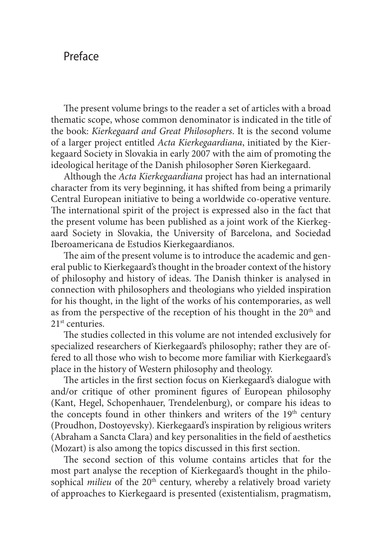### Preface

The present volume brings to the reader a set of articles with a broad thematic scope, whose common denominator is indicated in the title of the book: Kierkegaard and Great Philosophers. It is the second volume of a larger project entitled Acta Kierkegaardiana, initiated by the Kierkegaard Society in Slovakia in early 2007 with the aim of promoting the ideological heritage of the Danish philosopher Søren Kierkegaard.

Although the Acta Kierkegaardiana project has had an international character from its very beginning, it has shifted from being a primarily Central European initiative to being a worldwide co-operative venture. The international spirit of the project is expressed also in the fact that the present volume has been published as a joint work of the Kierkegaard Society in Slovakia, the University of Barcelona, and Sociedad Iberoamericana de Estudios Kierkegaardianos.

The aim of the present volume is to introduce the academic and general public to Kierkegaard's thought in the broader context of the history of philosophy and history of ideas. The Danish thinker is analysed in connection with philosophers and theologians who yielded inspiration for his thought, in the light of the works of his contemporaries, as well as from the perspective of the reception of his thought in the 20<sup>th</sup> and 21<sup>st</sup> centuries.

The studies collected in this volume are not intended exclusively for specialized researchers of Kierkegaard's philosophy; rather they are offered to all those who wish to become more familiar with Kierkegaard's place in the history of Western philosophy and theology.

The articles in the first section focus on Kierkegaard's dialogue with and/or critique of other prominent figures of European philosophy (Kant, Hegel, Schopenhauer, Trendelenburg), or compare his ideas to the concepts found in other thinkers and writers of the 19<sup>th</sup> century (Proudhon, Dostoyevsky). Kierkegaard's inspiration by religious writers (Abraham a Sancta Clara) and key personalities in the field of aesthetics (Mozart) is also among the topics discussed in this first section.

The second section of this volume contains articles that for the most part analyse the reception of Kierkegaard's thought in the philosophical milieu of the 20<sup>th</sup> century, whereby a relatively broad variety of approaches to Kierkegaard is presented (existentialism, pragmatism,